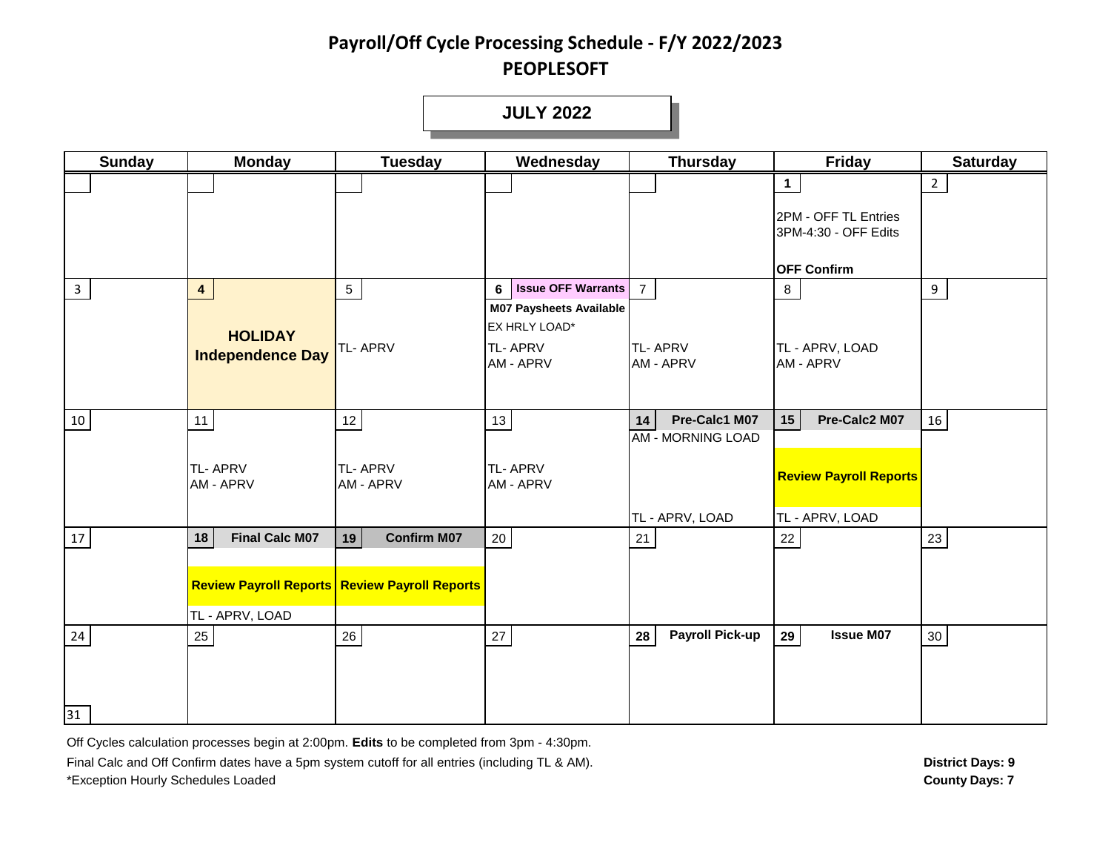**JULY 2022**

**1** 2 **3 4 1 6 Issue OFF Warrants 7** 8 10 11 12 13 **14 Pre-Calc1 M07 15 Pre-Calc2 M07** 16 17 **18 Final Calc M07 19 Confirm M07** 20 21 22 23 24 25 26 27 **28 Payroll Pick-up 29 Issue M07** 30 TL - APRV, LOAD TL - APRV, LOAD TL - APRV, LOAD AM - MORNING LOAD TL- APRV TE- APRV TE- APRV TE- APRV TE- APRV TE- APRV TE- APRV TE- APRV TE- APRV TE- APRV TE- APRV TE- APRV TE- APRV TE<br>AM - APRV TE- AM - APRV TE- APRV TE- APRV TE- APRV TE- APRV TE- APRV TE- APRV TE- APRV TE- APRV TE- APRV TE- AP **Review Payroll Reports Review Payroll Reports** TL- APRV AM - APRV TL- APRV AM - APRV **HOLIDAY Independence Day** EX HRLY LOAD\* TL- APRV **Sunday Monday Tuesday Wednesday Thursday Friday Saturday** TL- APRV AM - APRV TL- APRV AM - APRV TL - APRV, LOAD AM - APRV **M07 Paysheets Available** 2PM - OFF TL Entries 3PM-4:30 - OFF Edits **OFF Confirm**

Off Cycles calculation processes begin at 2:00pm. **Edits** to be completed from 3pm - 4:30pm.

31

Final Calc and Off Confirm dates have a 5pm system cutoff for all entries (including TL & AM). \*Exception Hourly Schedules Loaded **County Days: 7**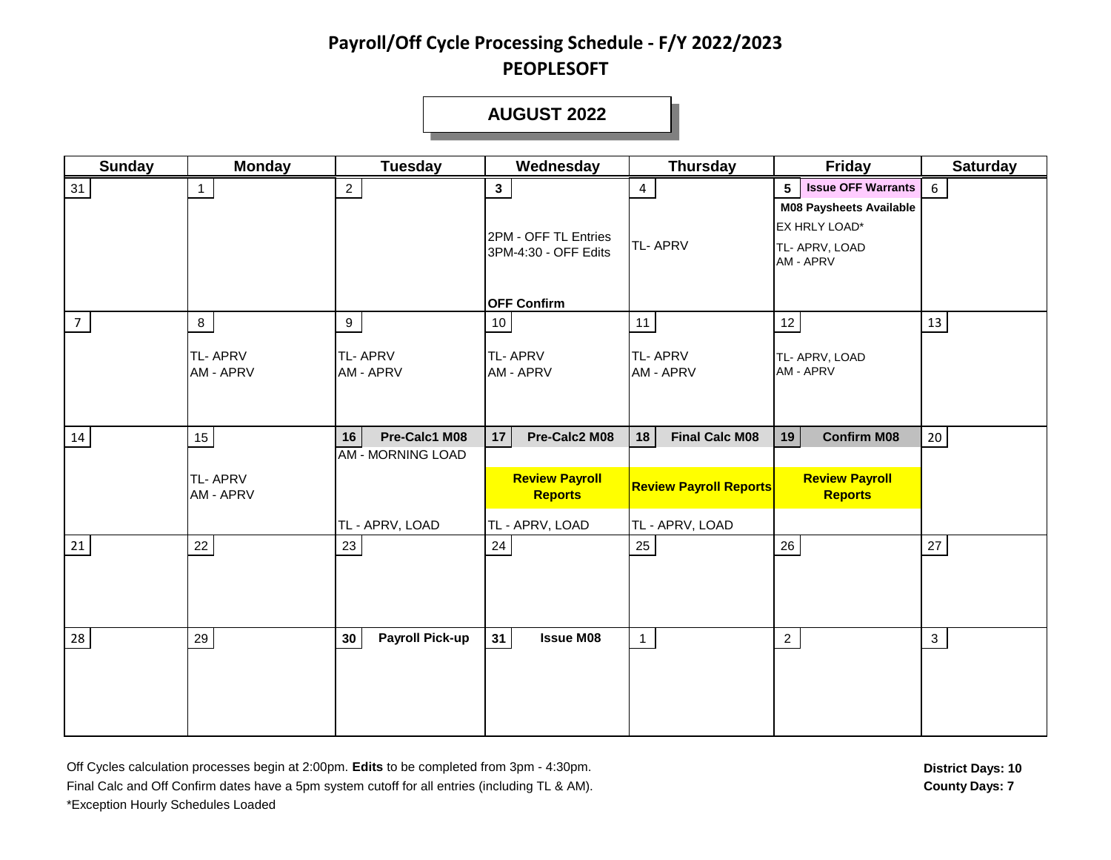#### **DECEMBER 2003 AUGUST 2003 AUGUST 2022**

| <b>Sunday</b> | <b>Monday</b>                                 | <b>Tuesday</b>                                                     | Wednesday                                                                          | <b>Thursday</b>                                                                 | <b>Friday</b>                                                                                                                 | <b>Saturday</b> |
|---------------|-----------------------------------------------|--------------------------------------------------------------------|------------------------------------------------------------------------------------|---------------------------------------------------------------------------------|-------------------------------------------------------------------------------------------------------------------------------|-----------------|
| 31            | $\overline{1}$                                | $2^{\circ}$                                                        | $\mathbf{3}$<br>2PM - OFF TL Entries<br>3PM-4:30 - OFF Edits<br><b>OFF Confirm</b> | $\overline{4}$<br><b>TL-APRV</b>                                                | <b>Issue OFF Warrants</b><br>5 <sup>5</sup><br><b>M08 Paysheets Available</b><br>EX HRLY LOAD*<br>TL- APRV, LOAD<br>AM - APRV | $6\phantom{1}$  |
| 7             | $8\phantom{.}$<br><b>TL-APRV</b><br>AM - APRV | 9<br>TL-APRV<br>AM - APRV                                          | 10<br><b>TL-APRV</b><br>AM - APRV                                                  | 11<br><b>TL-APRV</b><br>AM - APRV                                               | 12<br>TL- APRV, LOAD<br>AM - APRV                                                                                             | 13              |
| 14            | $15\,$<br><b>TL-APRV</b><br>AM - APRV         | Pre-Calc1 M08<br>16<br><b>AM - MORNING LOAD</b><br>TL - APRV, LOAD | Pre-Calc2 M08<br>17<br><b>Review Payroll</b><br><b>Reports</b><br>TL - APRV, LOAD  | 18<br><b>Final Calc M08</b><br><b>Review Payroll Reports</b><br>TL - APRV, LOAD | 19<br><b>Confirm M08</b><br><b>Review Payroll</b><br><b>Reports</b>                                                           | $20\,$          |
| 21            | $22\,$                                        | 23                                                                 | 24                                                                                 | 25                                                                              | 26                                                                                                                            | $27\,$          |
| 28            | 29                                            | <b>Payroll Pick-up</b><br>30                                       | <b>Issue M08</b><br>31                                                             | $\mathbf{1}$                                                                    | $\overline{2}$                                                                                                                | $\mathbf{3}$    |

Off Cycles calculation processes begin at 2:00pm. **Edits** to be completed from 3pm - 4:30pm. **District Days: 10** Final Calc and Off Confirm dates have a 5pm system cutoff for all entries (including TL & AM). **County Days: 7** \*Exception Hourly Schedules Loaded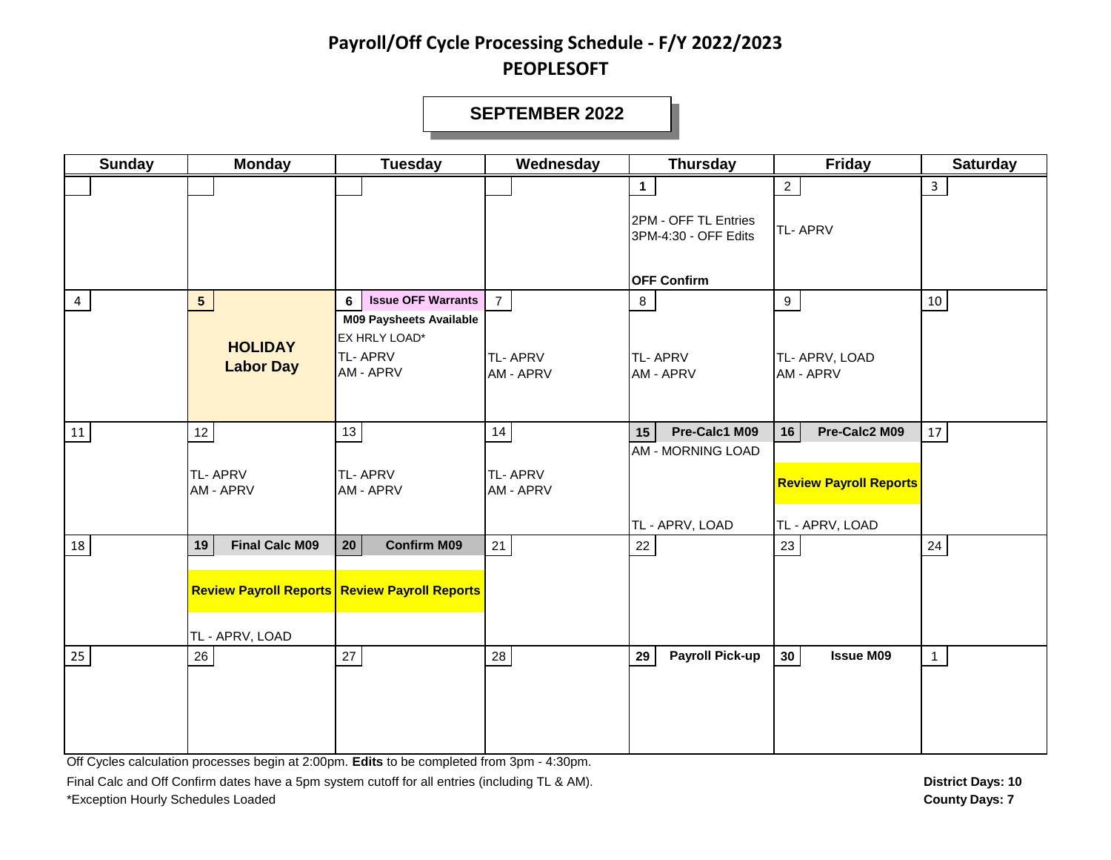#### **SEPTEMBER 2022**

| <b>Sunday</b>  | <b>Monday</b>                      | <b>Tuesday</b>                                                                    | Wednesday                   | <b>Thursday</b>                              | Friday                                           | <b>Saturday</b> |
|----------------|------------------------------------|-----------------------------------------------------------------------------------|-----------------------------|----------------------------------------------|--------------------------------------------------|-----------------|
|                |                                    |                                                                                   |                             | $\mathbf{1}$                                 | $2^{\circ}$                                      | $\mathbf{3}$    |
|                |                                    |                                                                                   |                             | 2PM - OFF TL Entries<br>3PM-4:30 - OFF Edits | <b>TL-APRV</b>                                   |                 |
|                |                                    |                                                                                   |                             | <b>OFF Confirm</b>                           |                                                  |                 |
| $\overline{4}$ | 5 <sub>5</sub>                     | <b>Issue OFF Warrants</b><br>6<br><b>M09 Paysheets Available</b><br>EX HRLY LOAD* | $\overline{7}$              | 8                                            | 9                                                | 10              |
|                | <b>HOLIDAY</b><br><b>Labor Day</b> | <b>TL-APRV</b><br>AM - APRV                                                       | <b>TL-APRV</b><br>AM - APRV | <b>TL-APRV</b><br>AM - APRV                  | TL- APRV, LOAD<br>AM - APRV                      |                 |
| ${\bf 11}$     | $12 \overline{ }$                  | 13                                                                                | 14                          | Pre-Calc1 M09<br>15                          | Pre-Calc2 M09<br>16                              | $17\,$          |
|                | <b>TL-APRV</b><br>AM - APRV        | <b>TL-APRV</b><br>AM - APRV                                                       | <b>TL-APRV</b><br>AM - APRV | <b>AM - MORNING LOAD</b><br>TL - APRV, LOAD  | <b>Review Payroll Reports</b><br>TL - APRV, LOAD |                 |
| 18             | <b>Final Calc M09</b><br>19        | <b>Confirm M09</b><br>20 <sup>°</sup>                                             | 21                          | 22                                           | 23                                               | $24\,$          |
|                |                                    | <b>Review Payroll Reports Review Payroll Reports</b>                              |                             |                                              |                                                  |                 |
|                | TL - APRV, LOAD                    |                                                                                   |                             |                                              |                                                  |                 |
| 25             | 26                                 | $27\,$                                                                            | 28                          | <b>Payroll Pick-up</b><br>29                 | 30 <sup>°</sup><br><b>Issue M09</b>              | $\mathbf{1}$    |

Off Cycles calculation processes begin at 2:00pm. **Edits** to be completed from 3pm - 4:30pm.

Final Calc and Off Confirm dates have a 5pm system cutoff for all entries (including TL & AM). **District Days: 10** District Days: 10 \*Exception Hourly Schedules Loaded **County Days: 7**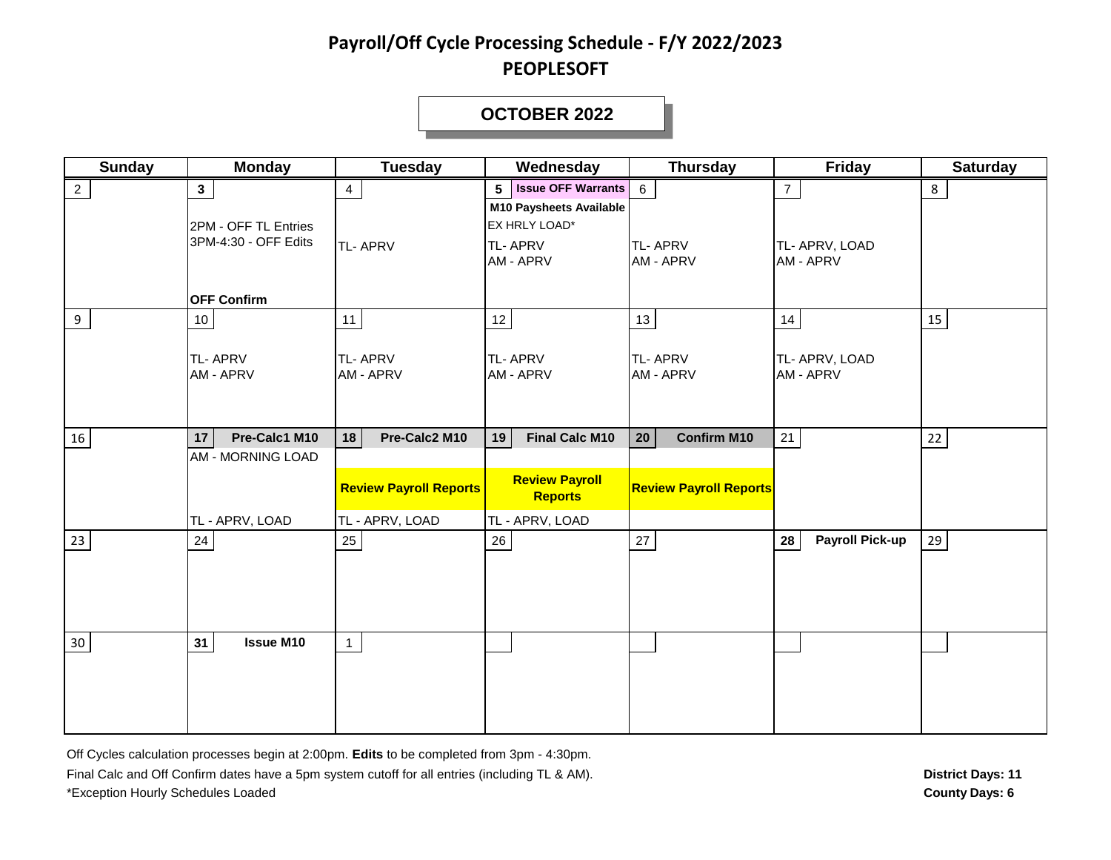#### **OCTOBER 2022**

| <b>Sunday</b>   | <b>Monday</b>                                                  | <b>Tuesday</b>                                   | Wednesday                                                                                                        | <b>Thursday</b>                       | Friday                            | <b>Saturday</b> |
|-----------------|----------------------------------------------------------------|--------------------------------------------------|------------------------------------------------------------------------------------------------------------------|---------------------------------------|-----------------------------------|-----------------|
| $\overline{2}$  | 3 <sup>1</sup><br>2PM - OFF TL Entries<br>3PM-4:30 - OFF Edits | 4<br>TL-APRV                                     | <b>Issue OFF Warrants</b><br>5<br><b>M10 Paysheets Available</b><br>EX HRLY LOAD*<br><b>TL-APRV</b><br>AM - APRV | 6<br><b>TL-APRV</b><br>AM - APRV      | 7<br>TL- APRV, LOAD<br>AM - APRV  | 8               |
|                 | <b>OFF Confirm</b>                                             |                                                  |                                                                                                                  |                                       |                                   |                 |
| 9               | 10<br><b>TL-APRV</b><br>AM - APRV                              | 11<br>TL-APRV<br>AM - APRV                       | 12<br><b>TL-APRV</b><br>AM - APRV                                                                                | 13<br><b>TL-APRV</b><br>AM - APRV     | 14<br>TL- APRV, LOAD<br>AM - APRV | 15              |
| 16              | Pre-Calc1 M10<br>17                                            | Pre-Calc2 M10<br>18                              | 19<br><b>Final Calc M10</b>                                                                                      | <b>Confirm M10</b><br>20 <sub>2</sub> | 21                                | $22\,$          |
|                 | <b>AM - MORNING LOAD</b><br>TL - APRV, LOAD                    | <b>Review Payroll Reports</b><br>TL - APRV, LOAD | <b>Review Payroll</b><br><b>Reports</b><br>TL - APRV, LOAD                                                       | <b>Review Payroll Reports</b>         |                                   |                 |
| 23              | 24                                                             | 25                                               | 26                                                                                                               | 27                                    | <b>Payroll Pick-up</b><br>28      | 29              |
| 30 <sub>o</sub> | <b>Issue M10</b><br>31                                         | $\mathbf{1}$                                     |                                                                                                                  |                                       |                                   |                 |

Off Cycles calculation processes begin at 2:00pm. **Edits** to be completed from 3pm - 4:30pm. Final Calc and Off Confirm dates have a 5pm system cutoff for all entries (including TL & AM). \*Exception Hourly Schedules Loaded **County Days: 6**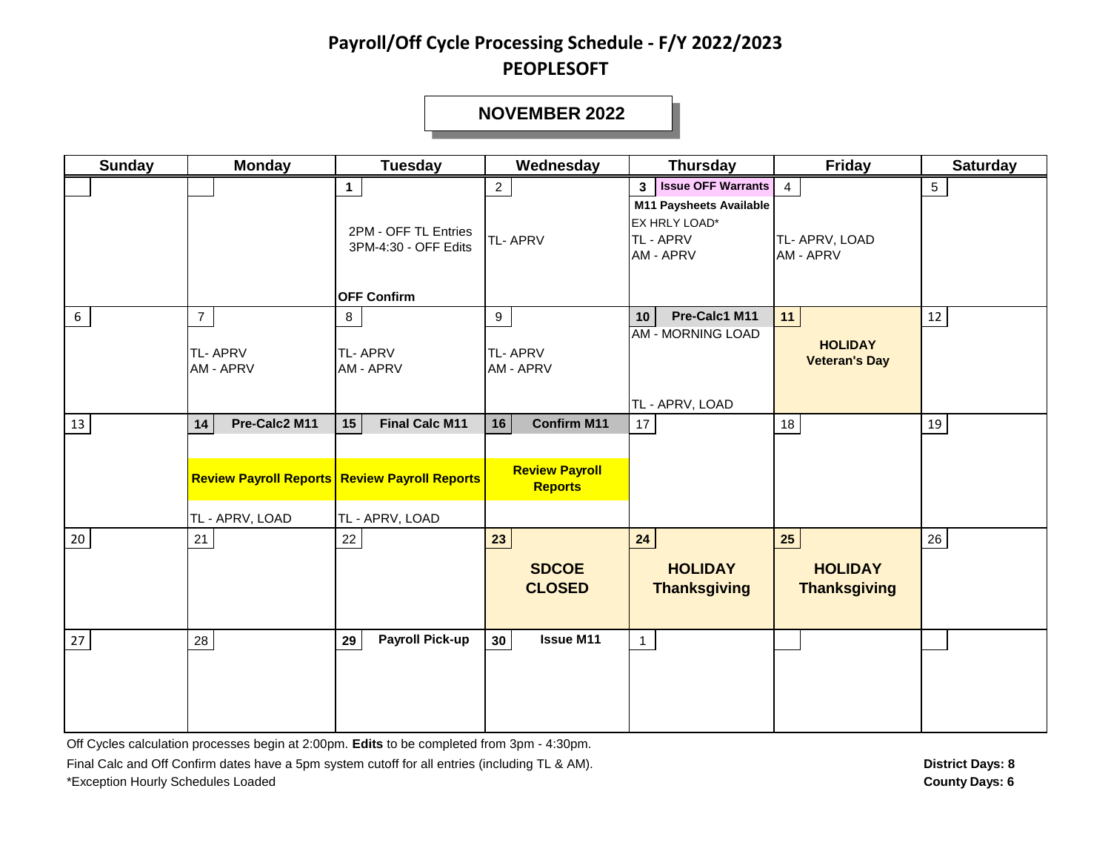#### **NOVEMBER 2022**

| <b>Sunday</b> | <b>Monday</b>                                  | <b>Tuesday</b>                                                                                         | Wednesday                                                           | <b>Thursday</b>                                                                                                   | Friday                                        | <b>Saturday</b> |
|---------------|------------------------------------------------|--------------------------------------------------------------------------------------------------------|---------------------------------------------------------------------|-------------------------------------------------------------------------------------------------------------------|-----------------------------------------------|-----------------|
|               |                                                | $\mathbf 1$<br>2PM - OFF TL Entries<br>3PM-4:30 - OFF Edits<br><b>OFF Confirm</b>                      | $\overline{2}$<br><b>TL-APRV</b>                                    | <b>Issue OFF Warrants</b><br>3 <sup>1</sup><br>M11 Paysheets Available<br>EX HRLY LOAD*<br>TL - APRV<br>AM - APRV | $\overline{4}$<br>TL- APRV, LOAD<br>AM - APRV | $5\phantom{.0}$ |
| 6             | $7\overline{ }$<br><b>TL-APRV</b><br>AM - APRV | 8<br><b>TL-APRV</b><br>AM - APRV                                                                       | 9<br><b>TL-APRV</b><br>AM - APRV                                    | Pre-Calc1 M11<br>10<br><b>AM - MORNING LOAD</b><br>TL - APRV, LOAD                                                | 11<br><b>HOLIDAY</b><br><b>Veteran's Day</b>  | 12              |
| 13            | Pre-Calc2 M11<br>14<br>TL - APRV, LOAD         | 15<br><b>Final Calc M11</b><br><b>Review Payroll Reports Review Payroll Reports</b><br>TL - APRV, LOAD | <b>Confirm M11</b><br>16<br><b>Review Payroll</b><br><b>Reports</b> | 17                                                                                                                | 18                                            | 19              |
| 20            | 21                                             | $22\,$                                                                                                 | 23<br><b>SDCOE</b><br><b>CLOSED</b>                                 | 24<br><b>HOLIDAY</b><br><b>Thanksgiving</b>                                                                       | 25<br><b>HOLIDAY</b><br><b>Thanksgiving</b>   | 26              |
| 27            | 28                                             | <b>Payroll Pick-up</b><br>29                                                                           | <b>Issue M11</b><br>30                                              | $\mathbf{1}$                                                                                                      |                                               |                 |

Off Cycles calculation processes begin at 2:00pm. **Edits** to be completed from 3pm - 4:30pm.

Final Calc and Off Confirm dates have a 5pm system cutoff for all entries (including TL & AM). \*Exception Hourly Schedules Loaded **County Days: 6**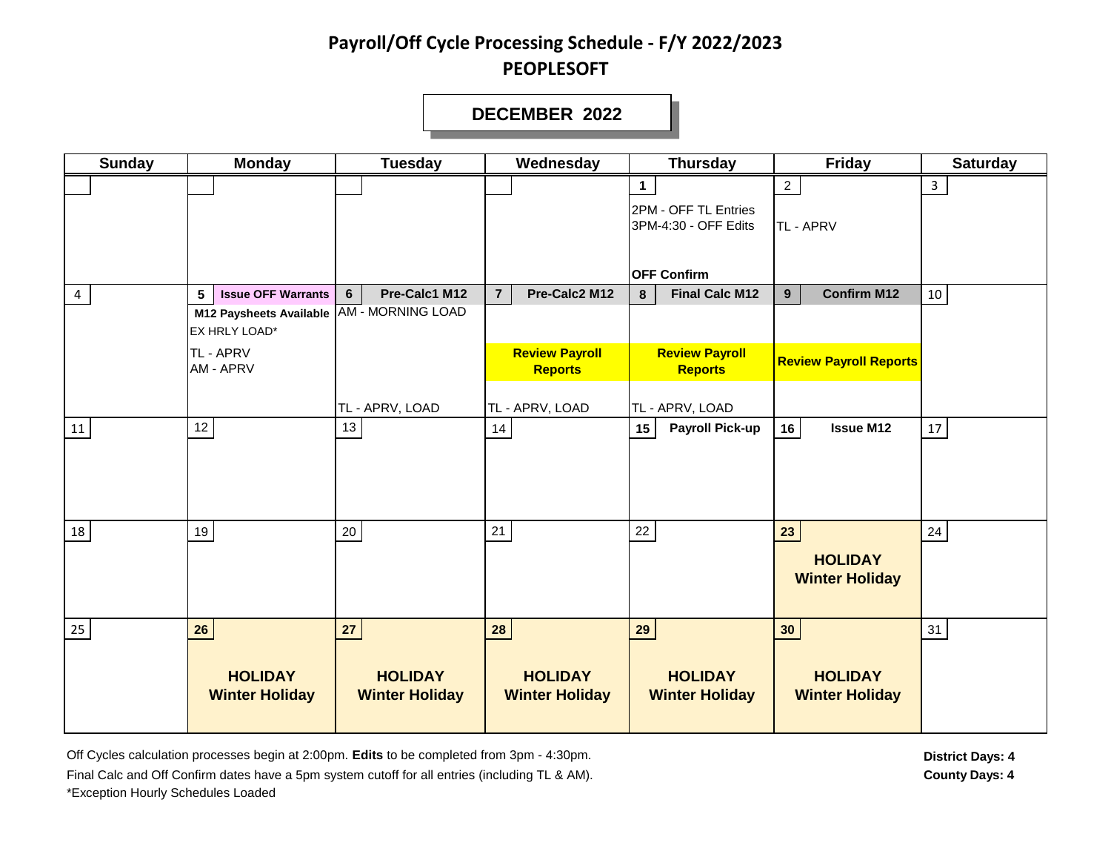#### **DECEMBER 2022**

| <b>Sunday</b> | <b>Monday</b>                             | <b>Tuesday</b>        | Wednesday                               | <b>Thursday</b>                         | <b>Friday</b>                 | <b>Saturday</b> |
|---------------|-------------------------------------------|-----------------------|-----------------------------------------|-----------------------------------------|-------------------------------|-----------------|
|               |                                           |                       |                                         | $\mathbf 1$                             | 2 <sub>2</sub>                | 3               |
|               |                                           |                       |                                         | 2PM - OFF TL Entries                    |                               |                 |
|               |                                           |                       |                                         | 3PM-4:30 - OFF Edits                    | TL - APRV                     |                 |
|               |                                           |                       |                                         |                                         |                               |                 |
|               |                                           |                       |                                         | <b>OFF Confirm</b>                      |                               |                 |
| 4             | <b>Issue OFF Warrants</b><br>5            | Pre-Calc1 M12<br>6    | Pre-Calc2 M12<br>$\overline{7}$         | <b>Final Calc M12</b><br>$\bf{8}$       | <b>Confirm M12</b><br>9       | 10              |
|               | M12 Paysheets Available AM - MORNING LOAD |                       |                                         |                                         |                               |                 |
|               | EX HRLY LOAD*                             |                       |                                         |                                         |                               |                 |
|               | <b>TL-APRV</b><br>AM - APRV               |                       | <b>Review Payroll</b><br><b>Reports</b> | <b>Review Payroll</b><br><b>Reports</b> | <b>Review Payroll Reports</b> |                 |
|               |                                           |                       |                                         |                                         |                               |                 |
|               |                                           | TL - APRV, LOAD       | TL - APRV, LOAD                         | TL - APRV, LOAD                         |                               |                 |
| 11            | 12                                        | 13                    | 14                                      | <b>Payroll Pick-up</b><br>15            | <b>Issue M12</b><br>16        | $17\,$          |
|               |                                           |                       |                                         |                                         |                               |                 |
|               |                                           |                       |                                         |                                         |                               |                 |
|               |                                           |                       |                                         |                                         |                               |                 |
|               | 19                                        | 20                    | 21                                      | 22                                      |                               |                 |
| 18            |                                           |                       |                                         |                                         | 23                            | 24              |
|               |                                           |                       |                                         |                                         | <b>HOLIDAY</b>                |                 |
|               |                                           |                       |                                         |                                         | <b>Winter Holiday</b>         |                 |
|               |                                           |                       |                                         |                                         |                               |                 |
| 25            | ${\bf 26}$                                | 27                    | 28                                      | 29                                      | 30 <sub>o</sub>               | 31              |
|               |                                           |                       |                                         |                                         |                               |                 |
|               | <b>HOLIDAY</b>                            | <b>HOLIDAY</b>        | <b>HOLIDAY</b>                          | <b>HOLIDAY</b>                          | <b>HOLIDAY</b>                |                 |
|               | <b>Winter Holiday</b>                     | <b>Winter Holiday</b> | <b>Winter Holiday</b>                   | <b>Winter Holiday</b>                   | <b>Winter Holiday</b>         |                 |
|               |                                           |                       |                                         |                                         |                               |                 |

Off Cycles calculation processes begin at 2:00pm. Edits to be completed from 3pm - 4:30pm. **District Days: 4** District Days: 4 Final Calc and Off Confirm dates have a 5pm system cutoff for all entries (including TL & AM). \*Exception Hourly Schedules Loaded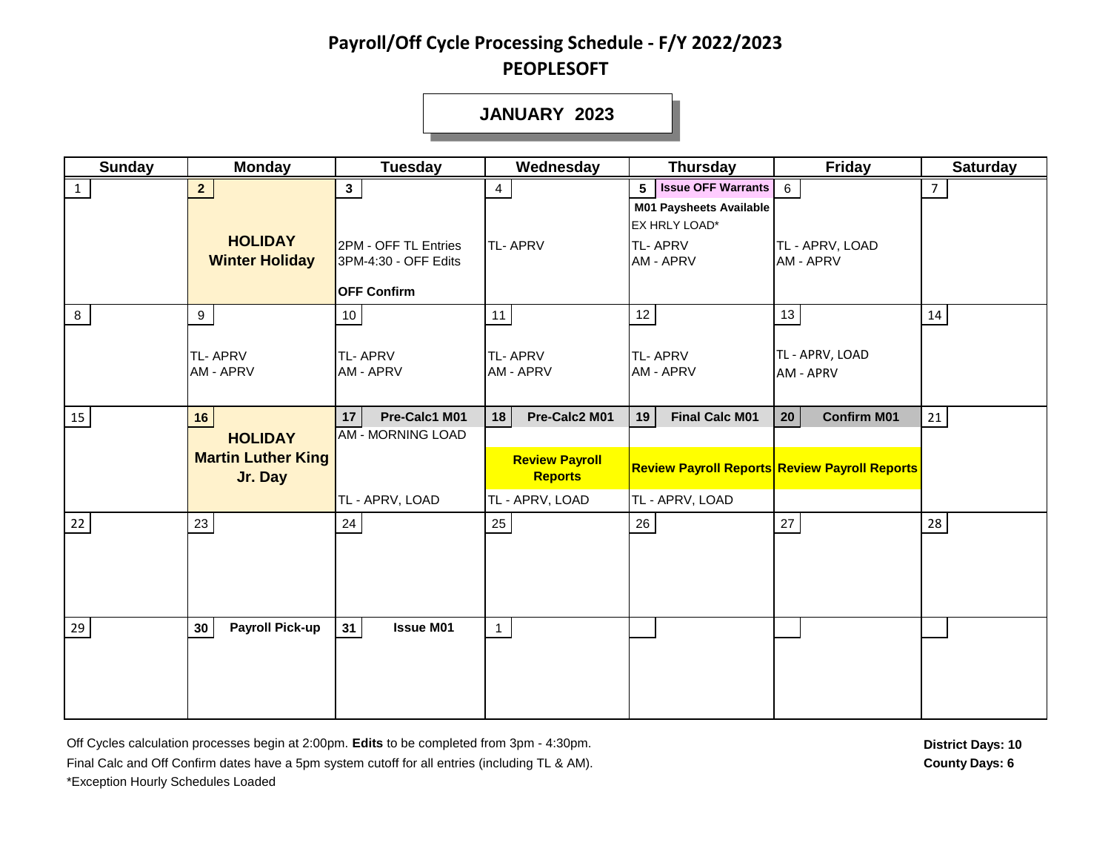**JANUARY 2023**

| <b>Sunday</b> | <b>Monday</b>                                                | <b>Tuesday</b>                                                                       | Wednesday                                                                         | <b>Thursday</b>                                                                                               | <b>Friday</b>                                                                                 | <b>Saturday</b> |
|---------------|--------------------------------------------------------------|--------------------------------------------------------------------------------------|-----------------------------------------------------------------------------------|---------------------------------------------------------------------------------------------------------------|-----------------------------------------------------------------------------------------------|-----------------|
| $\mathbf{1}$  | 2 <sup>7</sup><br><b>HOLIDAY</b><br><b>Winter Holiday</b>    | $3\phantom{a}$<br>2PM - OFF TL Entries<br>3PM-4:30 - OFF Edits<br><b>OFF Confirm</b> | $\overline{4}$<br><b>TL-APRV</b>                                                  | 5 <b>Issue OFF Warrants</b><br><b>M01 Paysheets Available</b><br>EX HRLY LOAD*<br><b>TL-APRV</b><br>AM - APRV | $6\overline{6}$<br>TL - APRV, LOAD<br><b>AM - APRV</b>                                        | $\overline{7}$  |
| 8             | 9<br><b>TL-APRV</b><br><b>AM - APRV</b>                      | 10 <sub>1</sub><br>TL-APRV<br>AM - APRV                                              | 11<br><b>TL-APRV</b><br>AM - APRV                                                 | $12 \mid$<br><b>TL-APRV</b><br>AM - APRV                                                                      | 13<br>TL - APRV, LOAD<br>AM - APRV                                                            | 14              |
| 15            | 16<br><b>HOLIDAY</b><br><b>Martin Luther King</b><br>Jr. Day | Pre-Calc1 M01<br>17<br><b>AM - MORNING LOAD</b><br>TL - APRV, LOAD                   | Pre-Calc2 M01<br>18<br><b>Review Payroll</b><br><b>Reports</b><br>TL - APRV, LOAD | <b>Final Calc M01</b><br>19<br>TL - APRV, LOAD                                                                | <b>Confirm M01</b><br>20 <sub>2</sub><br><b>Review Payroll Reports Review Payroll Reports</b> | 21              |
| 22            | 23                                                           | 24                                                                                   | 25                                                                                | 26                                                                                                            | 27                                                                                            | 28              |
| 29            | <b>Payroll Pick-up</b><br>30                                 | <b>Issue M01</b><br>31                                                               | $\mathbf{1}$                                                                      |                                                                                                               |                                                                                               |                 |

Off Cycles calculation processes begin at 2:00pm. Edits to be completed from 3pm - 4:30pm. Final Calc and Off Confirm dates have a 5pm system cutoff for all entries (including TL & AM). **County Days: 6** County Days: 6 \*Exception Hourly Schedules Loaded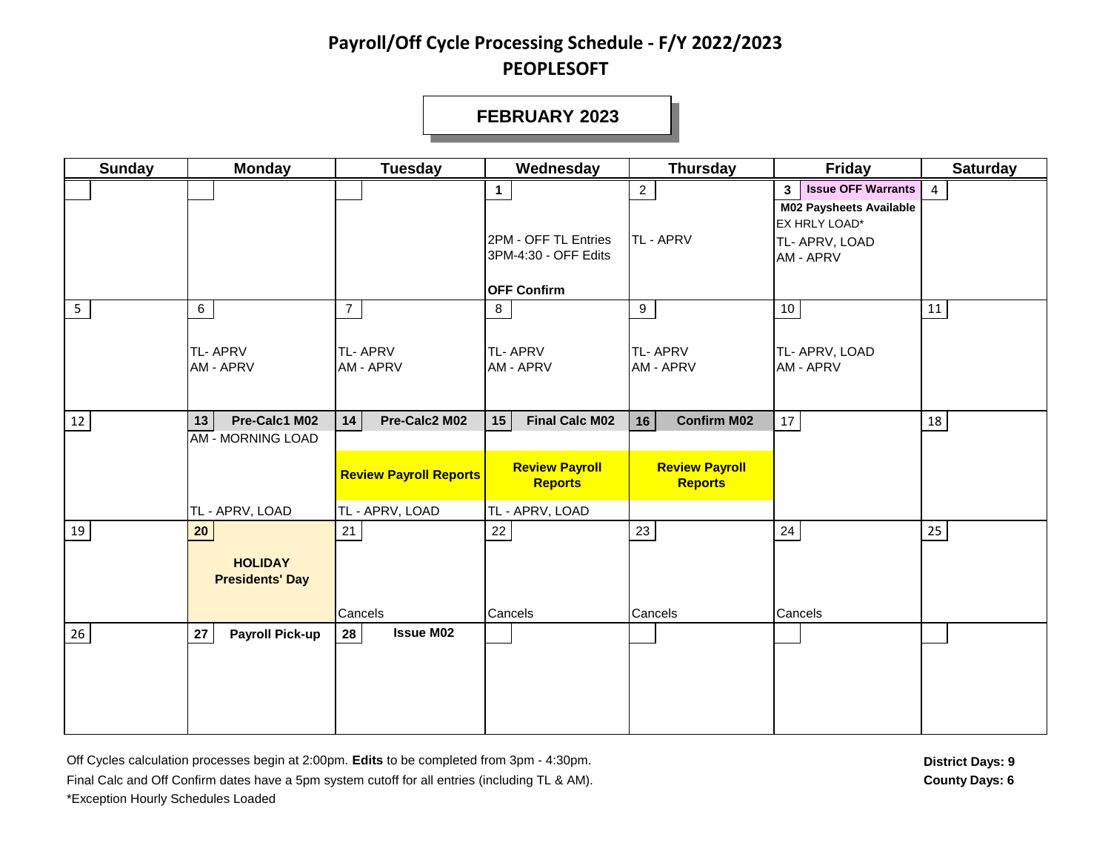#### **FEBRUARY 2023**

| <b>Sunday</b>  | <b>Monday</b>                                                     | <b>Tuesday</b>                                       | Wednesday                                                              | <b>Thursday</b>                                                     | Friday                                                                                                    | <b>Saturday</b>  |
|----------------|-------------------------------------------------------------------|------------------------------------------------------|------------------------------------------------------------------------|---------------------------------------------------------------------|-----------------------------------------------------------------------------------------------------------|------------------|
|                |                                                                   |                                                      | 1.<br>2PM - OFF TL Entries                                             | $\overline{2}$<br>TL - APRV                                         | <b>Issue OFF Warrants</b><br>3 <sup>1</sup><br>M02 Paysheets Available<br>EX HRLY LOAD*<br>TL- APRV, LOAD | $\overline{4}$   |
| 5 <sub>1</sub> | $\,$ 6 $\,$                                                       | $\overline{7}$                                       | 3PM-4:30 - OFF Edits<br><b>OFF Confirm</b><br>8                        | 9                                                                   | AM - APRV<br>10                                                                                           | $11\,$           |
|                | <b>TL-APRV</b><br>AM - APRV                                       | <b>TL-APRV</b><br>AM - APRV                          | <b>TL-APRV</b><br>AM - APRV                                            | <b>TL-APRV</b><br>AM - APRV                                         | TL- APRV, LOAD<br>AM - APRV                                                                               |                  |
| 12             | Pre-Calc1 M02<br>13<br><b>AM - MORNING LOAD</b>                   | Pre-Calc2 M02<br>14<br><b>Review Payroll Reports</b> | <b>Final Calc M02</b><br>15<br><b>Review Payroll</b><br><b>Reports</b> | <b>Confirm M02</b><br>16<br><b>Review Payroll</b><br><b>Reports</b> | 17                                                                                                        | 18               |
| 19             | TL - APRV, LOAD<br>20<br><b>HOLIDAY</b><br><b>Presidents' Day</b> | TL - APRV, LOAD<br>21<br>Cancels                     | TL - APRV, LOAD<br>22<br>Cancels                                       | 23<br>Cancels                                                       | 24<br>Cancels                                                                                             | $25\phantom{.0}$ |
| 26             | ${\bf 27}$<br><b>Payroll Pick-up</b>                              | 28<br><b>Issue M02</b>                               |                                                                        |                                                                     |                                                                                                           |                  |

Off Cycles calculation processes begin at 2:00pm. Edits to be completed from 3pm - 4:30pm. **District Days: 9** District Days: 9 Final Calc and Off Confirm dates have a 5pm system cutoff for all entries (including TL & AM). **County Days: 6** County Days: 6 \*Exception Hourly Schedules Loaded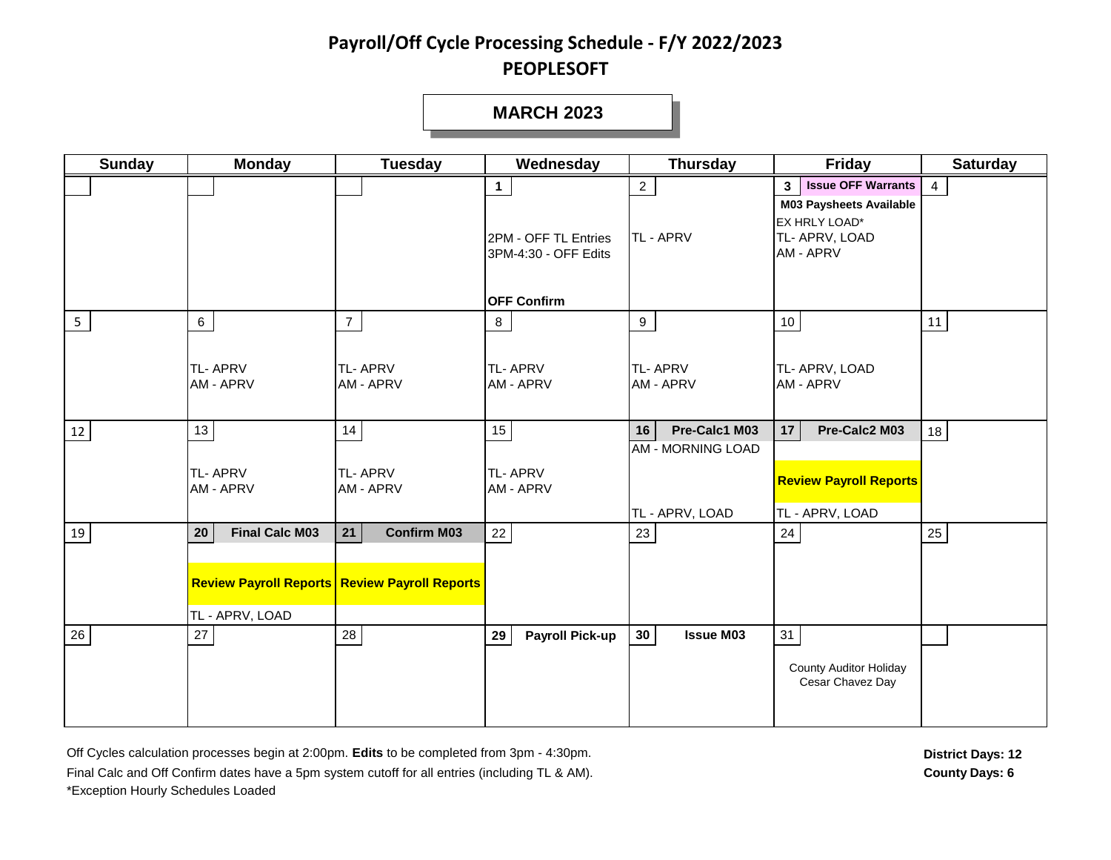#### **MARCH 2023**

| <b>Sunday</b>  | <b>Monday</b>                                  | <b>Tuesday</b>                                       | Wednesday                                    | <b>Thursday</b>                             | <b>Friday</b>                                                                         | <b>Saturday</b> |
|----------------|------------------------------------------------|------------------------------------------------------|----------------------------------------------|---------------------------------------------|---------------------------------------------------------------------------------------|-----------------|
|                |                                                |                                                      | $\mathbf{1}$                                 | $2^{\circ}$                                 | <b>Issue OFF Warrants</b><br>3 <sup>7</sup>                                           | $\overline{4}$  |
|                |                                                |                                                      | 2PM - OFF TL Entries<br>3PM-4:30 - OFF Edits | <b>TL-APRV</b>                              | <b>M03 Paysheets Available</b><br>EX HRLY LOAD*<br>TL- APRV, LOAD<br><b>AM - APRV</b> |                 |
|                |                                                |                                                      | <b>OFF Confirm</b>                           |                                             |                                                                                       |                 |
| 5 <sub>1</sub> | $6\overline{6}$<br><b>TL-APRV</b><br>AM - APRV | 7 <sup>1</sup><br><b>TL-APRV</b><br>AM - APRV        | 8<br><b>TL-APRV</b><br><b>AM - APRV</b>      | 9<br><b>TL-APRV</b><br><b>AM - APRV</b>     | 10<br>TL- APRV, LOAD<br><b>AM - APRV</b>                                              | 11              |
| 12             | 13                                             | 14                                                   | 15                                           | Pre-Calc1 M03<br>16                         | Pre-Calc2 M03<br>17                                                                   | 18              |
|                | <b>TL-APRV</b><br>AM - APRV                    | <b>TL-APRV</b><br>AM - APRV                          | <b>TL-APRV</b><br>AM - APRV                  | <b>AM - MORNING LOAD</b><br>TL - APRV, LOAD | <b>Review Payroll Reports</b><br>TL - APRV, LOAD                                      |                 |
| 19             | <b>Final Calc M03</b><br>${\bf 20}$            | <b>Confirm M03</b><br>21                             | 22                                           | 23                                          | 24                                                                                    | 25              |
|                | TL - APRV, LOAD                                | <b>Review Payroll Reports Review Payroll Reports</b> |                                              |                                             |                                                                                       |                 |
| 26             | 27                                             | 28                                                   | 29<br><b>Payroll Pick-up</b>                 | 30 <sup>°</sup><br><b>Issue M03</b>         | 31                                                                                    |                 |
|                |                                                |                                                      |                                              |                                             | <b>County Auditor Holiday</b><br>Cesar Chavez Day                                     |                 |

Off Cycles calculation processes begin at 2:00pm. Edits to be completed from 3pm - 4:30pm. Final Calc and Off Confirm dates have a 5pm system cutoff for all entries (including TL & AM). **County Days: 6** County Days: 6 \*Exception Hourly Schedules Loaded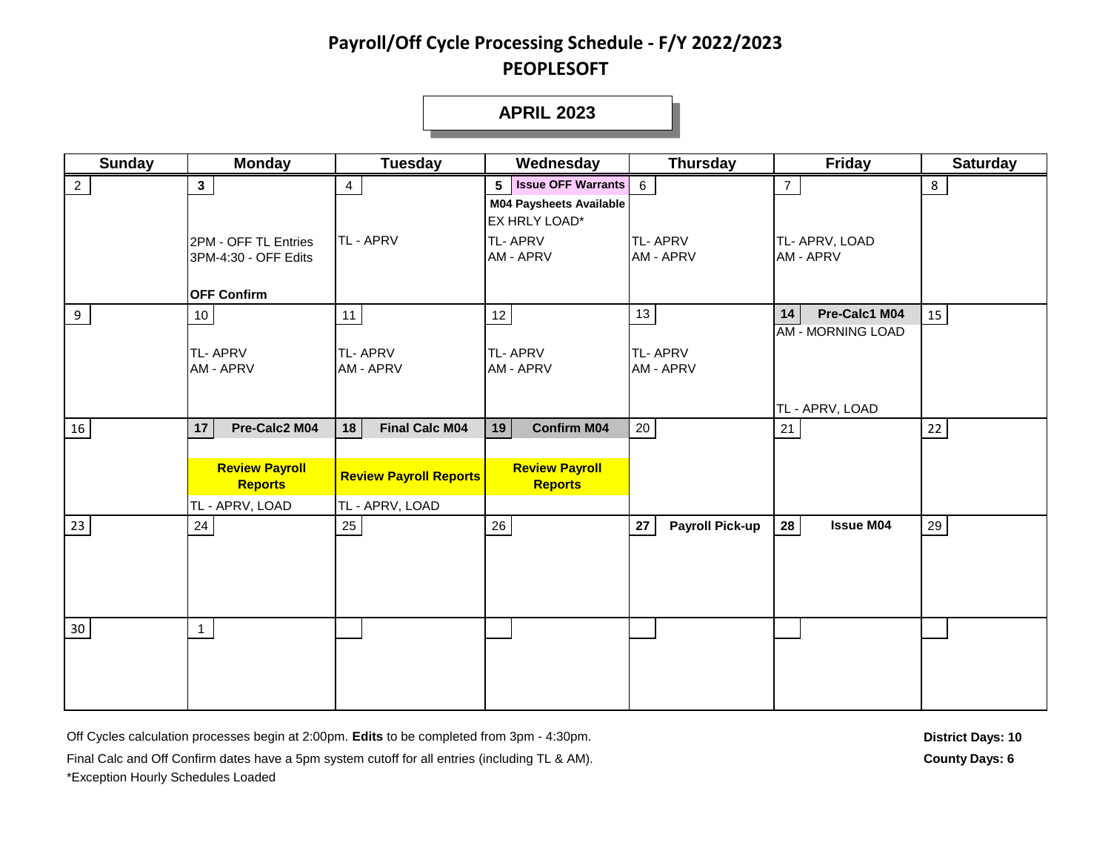#### **APRIL 2023**

| <b>Sunday</b>  | <b>Monday</b>                           | <b>Tuesday</b>                | Wednesday                                       | <b>Thursday</b>              | <b>Friday</b>            | <b>Saturday</b> |
|----------------|-----------------------------------------|-------------------------------|-------------------------------------------------|------------------------------|--------------------------|-----------------|
| $\overline{2}$ | $\mathbf{3}$                            | $\overline{4}$                | <b>Issue OFF Warrants</b><br>5 <sup>1</sup>     | $6\overline{6}$              | $7\overline{ }$          | 8               |
|                |                                         |                               | <b>M04 Paysheets Available</b><br>EX HRLY LOAD* |                              |                          |                 |
|                | 2PM - OFF TL Entries                    | <b>TL-APRV</b>                | <b>TL-APRV</b>                                  | <b>TL-APRV</b>               | TL- APRV, LOAD           |                 |
|                | 3PM-4:30 - OFF Edits                    |                               | AM - APRV                                       | AM - APRV                    | AM - APRV                |                 |
|                |                                         |                               |                                                 |                              |                          |                 |
|                | <b>OFF Confirm</b>                      |                               |                                                 |                              |                          |                 |
| 9              | 10 <sub>1</sub>                         | 11                            | 12                                              | 13                           | Pre-Calc1 M04<br>14      | 15              |
|                |                                         |                               |                                                 |                              | <b>AM - MORNING LOAD</b> |                 |
|                | <b>TL-APRV</b><br>AM - APRV             | <b>TL-APRV</b><br>AM - APRV   | <b>TL-APRV</b><br>AM - APRV                     | <b>TL-APRV</b><br>AM - APRV  |                          |                 |
|                |                                         |                               |                                                 |                              |                          |                 |
|                |                                         |                               |                                                 |                              | TL - APRV, LOAD          |                 |
| 16             | Pre-Calc2 M04<br>17                     | 18<br><b>Final Calc M04</b>   | <b>Confirm M04</b><br>19                        | 20                           | 21                       | $22\,$          |
|                |                                         |                               |                                                 |                              |                          |                 |
|                | <b>Review Payroll</b><br><b>Reports</b> | <b>Review Payroll Reports</b> | <b>Review Payroll</b><br><b>Reports</b>         |                              |                          |                 |
|                | TL - APRV, LOAD                         | TL - APRV, LOAD               |                                                 |                              |                          |                 |
| 23             | 24                                      | 25                            | 26                                              | 27<br><b>Payroll Pick-up</b> | 28<br><b>Issue M04</b>   | 29              |
|                |                                         |                               |                                                 |                              |                          |                 |
|                |                                         |                               |                                                 |                              |                          |                 |
|                |                                         |                               |                                                 |                              |                          |                 |
|                |                                         |                               |                                                 |                              |                          |                 |
| $30\,$         | $\overline{1}$                          |                               |                                                 |                              |                          |                 |
|                |                                         |                               |                                                 |                              |                          |                 |
|                |                                         |                               |                                                 |                              |                          |                 |
|                |                                         |                               |                                                 |                              |                          |                 |

Off Cycles calculation processes begin at 2:00pm. Edits to be completed from 3pm - 4:30pm.

Final Calc and Off Confirm dates have a 5pm system cutoff for all entries (including TL & AM).

\*Exception Hourly Schedules Loaded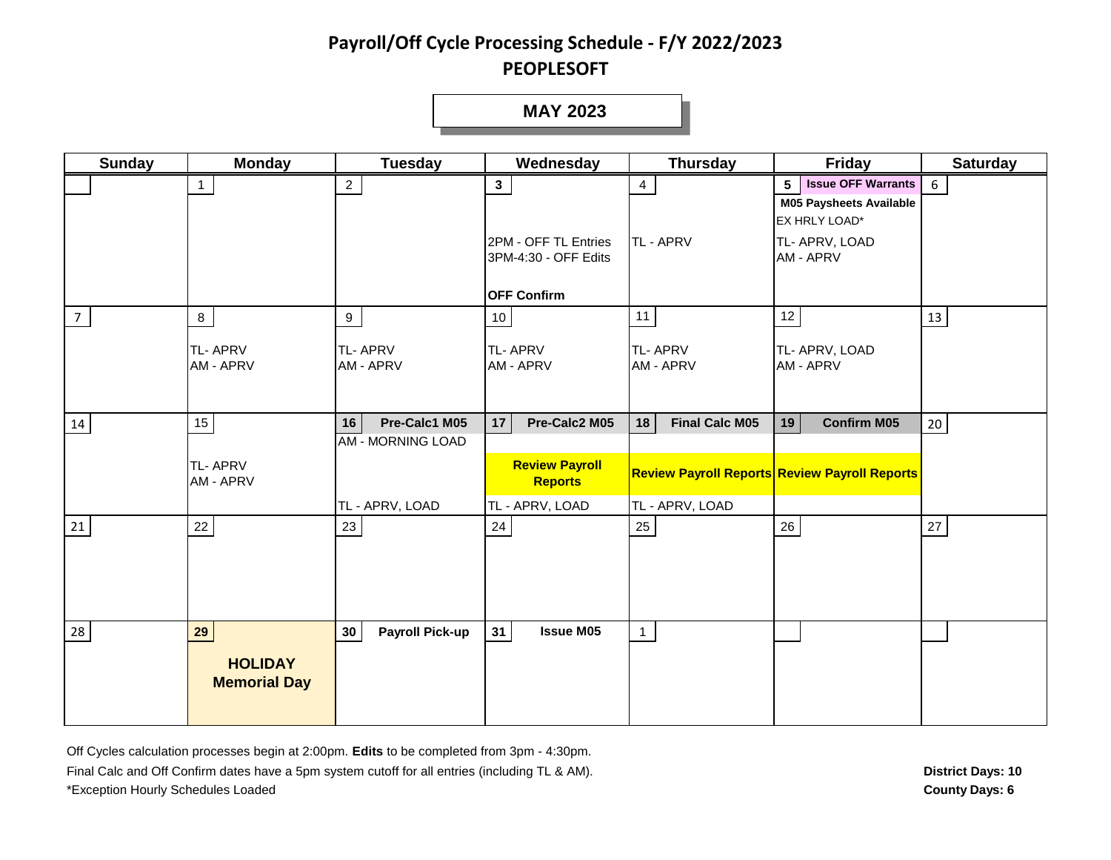#### **MAY 2023**

| <b>Sunday</b> | <b>Monday</b>               | <b>Tuesday</b>                                  | Wednesday                                    | <b>Thursday</b>             | Friday                                               | <b>Saturday</b> |
|---------------|-----------------------------|-------------------------------------------------|----------------------------------------------|-----------------------------|------------------------------------------------------|-----------------|
|               | 1                           | $\overline{2}$                                  | $\mathbf{3}$                                 | $\overline{4}$              | <b>Issue OFF Warrants</b><br>5                       | 6               |
|               |                             |                                                 |                                              |                             | <b>M05 Paysheets Available</b>                       |                 |
|               |                             |                                                 |                                              |                             | EX HRLY LOAD*                                        |                 |
|               |                             |                                                 | 2PM - OFF TL Entries<br>3PM-4:30 - OFF Edits | TL - APRV                   | TL- APRV, LOAD<br>AM - APRV                          |                 |
|               |                             |                                                 |                                              |                             |                                                      |                 |
|               |                             |                                                 | <b>OFF Confirm</b>                           |                             |                                                      |                 |
| 7             | $\bf{8}$                    | 9                                               | 10 <sup>°</sup>                              | 11                          | 12                                                   | 13              |
|               | <b>TL-APRV</b>              | <b>TL-APRV</b>                                  | <b>TL-APRV</b>                               | <b>TL-APRV</b>              | TL- APRV, LOAD                                       |                 |
|               | <b>AM - APRV</b>            | <b>AM - APRV</b>                                | AM - APRV                                    | <b>AM - APRV</b>            | AM - APRV                                            |                 |
|               |                             |                                                 |                                              |                             |                                                      |                 |
|               |                             |                                                 |                                              |                             |                                                      |                 |
| 14            | $15\,$                      | Pre-Calc1 M05<br>16<br><b>AM - MORNING LOAD</b> | Pre-Calc2 M05<br>17                          | 18<br><b>Final Calc M05</b> | <b>Confirm M05</b><br>19                             | 20              |
|               |                             |                                                 |                                              |                             |                                                      |                 |
|               | <b>TL-APRV</b><br>AM - APRV |                                                 | <b>Review Payroll</b><br><b>Reports</b>      |                             | <b>Review Payroll Reports Review Payroll Reports</b> |                 |
|               |                             | TL - APRV, LOAD                                 | TL - APRV, LOAD                              | TL - APRV, LOAD             |                                                      |                 |
| 21            | 22                          | 23                                              | 24                                           | 25                          | 26                                                   | 27              |
|               |                             |                                                 |                                              |                             |                                                      |                 |
|               |                             |                                                 |                                              |                             |                                                      |                 |
|               |                             |                                                 |                                              |                             |                                                      |                 |
|               |                             |                                                 |                                              |                             |                                                      |                 |
| 28            | 29                          | 30<br><b>Payroll Pick-up</b>                    | <b>Issue M05</b><br>31                       | $\mathbf{1}$                |                                                      |                 |
|               | <b>HOLIDAY</b>              |                                                 |                                              |                             |                                                      |                 |
|               | <b>Memorial Day</b>         |                                                 |                                              |                             |                                                      |                 |
|               |                             |                                                 |                                              |                             |                                                      |                 |

Off Cycles calculation processes begin at 2:00pm. **Edits** to be completed from 3pm - 4:30pm. Final Calc and Off Confirm dates have a 5pm system cutoff for all entries (including TL & AM). \*Exception Hourly Schedules Loaded **County Days: 6**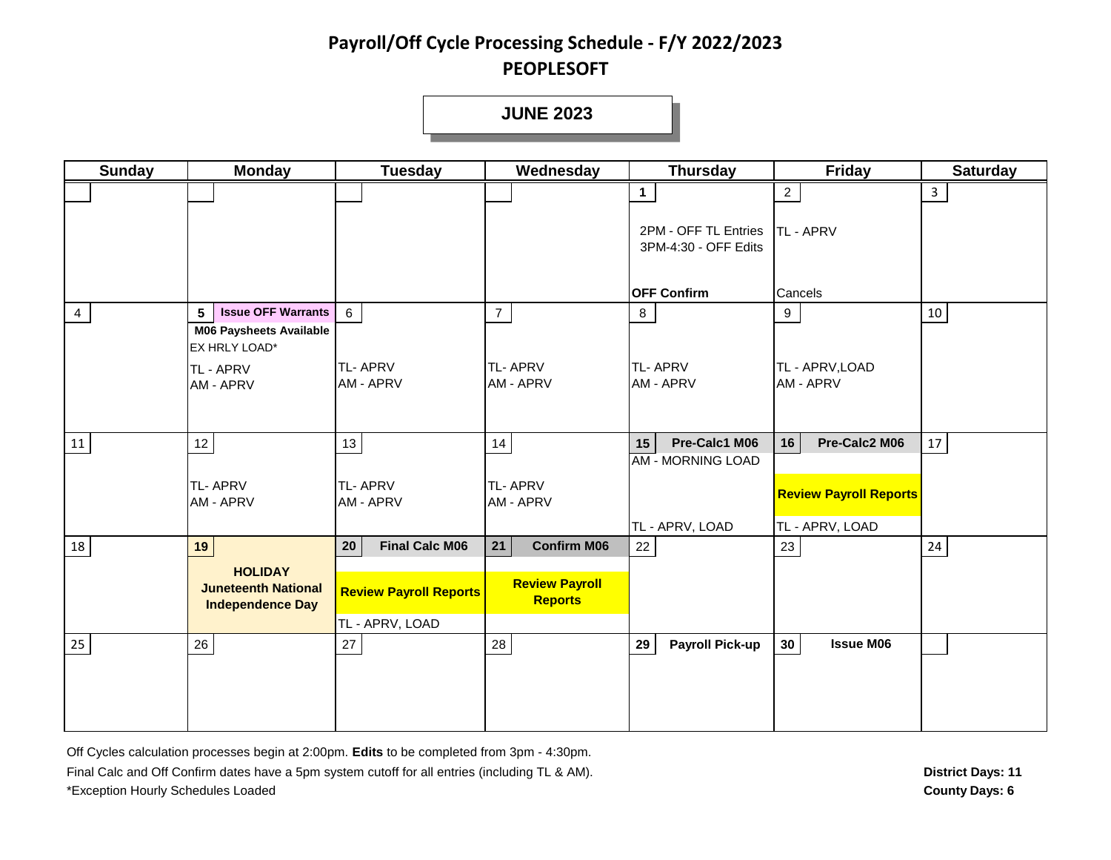**JUNE 2023**

| <b>Sunday</b>  | <b>Monday</b>                                                                  | <b>Tuesday</b>                                   | Wednesday                               | <b>Thursday</b>                              | <b>Friday</b>                                    | <b>Saturday</b> |
|----------------|--------------------------------------------------------------------------------|--------------------------------------------------|-----------------------------------------|----------------------------------------------|--------------------------------------------------|-----------------|
|                |                                                                                |                                                  |                                         | 1                                            | $2^{\circ}$                                      | 3               |
|                |                                                                                |                                                  |                                         | 2PM - OFF TL Entries<br>3PM-4:30 - OFF Edits | <b>TL-APRV</b>                                   |                 |
|                |                                                                                |                                                  |                                         | <b>OFF Confirm</b>                           | Cancels                                          |                 |
| $\overline{4}$ | $5\phantom{.0}$<br><b>Issue OFF Warrants</b><br><b>M06 Paysheets Available</b> | $6\overline{6}$                                  | $\overline{7}$                          | 8                                            | 9                                                | 10              |
|                | EX HRLY LOAD*<br>TL - APRV<br><b>AM - APRV</b>                                 | <b>TL-APRV</b><br>AM - APRV                      | <b>TL-APRV</b><br><b>AM - APRV</b>      | <b>TL-APRV</b><br>AM - APRV                  | TL - APRV, LOAD<br>AM - APRV                     |                 |
| 11             | $12 \overline{ }$                                                              | 13                                               | 14                                      | Pre-Calc1 M06<br>15                          | Pre-Calc2 M06<br>16                              | 17              |
|                | <b>TL-APRV</b><br>AM - APRV                                                    | <b>TL-APRV</b><br>AM - APRV                      | <b>TL-APRV</b><br>AM - APRV             | <b>AM - MORNING LOAD</b><br>TL - APRV, LOAD  | <b>Review Payroll Reports</b><br>TL - APRV, LOAD |                 |
| 18             | 19                                                                             | 20<br><b>Final Calc M06</b>                      | 21<br><b>Confirm M06</b>                | 22                                           | 23                                               | 24              |
|                | <b>HOLIDAY</b><br><b>Juneteenth National</b><br><b>Independence Day</b>        | <b>Review Payroll Reports</b><br>TL - APRV, LOAD | <b>Review Payroll</b><br><b>Reports</b> |                                              |                                                  |                 |
| 25             | 26                                                                             | 27                                               | 28                                      | <b>Payroll Pick-up</b><br>29                 | <b>Issue M06</b><br>30 <sup>°</sup>              |                 |
|                |                                                                                |                                                  |                                         |                                              |                                                  |                 |

Off Cycles calculation processes begin at 2:00pm. **Edits** to be completed from 3pm - 4:30pm. Final Calc and Off Confirm dates have a 5pm system cutoff for all entries (including TL & AM). \*Exception Hourly Schedules Loaded **County Days: 6**